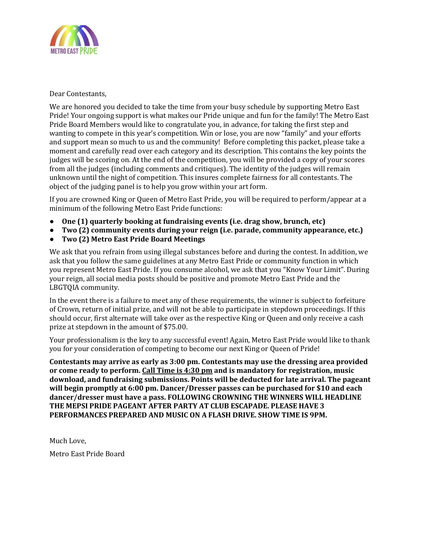

Dear Contestants,

We are honored you decided to take the time from your busy schedule by supporting Metro East Pride! Your ongoing support is what makes our Pride unique and fun for the family! The Metro East Pride Board Members would like to congratulate you, in advance, for taking the first step and wanting to compete in this year's competition. Win or lose, you are now "family" and your efforts and support mean so much to us and the community! Before completing this packet, please take a moment and carefully read over each category and its description. This contains the key points the judges will be scoring on. At the end of the competition, you will be provided a copy of your scores from all the judges (including comments and critiques). The identity of the judges will remain unknown until the night of competition. This insures complete fairness for all contestants. The object of the judging panel is to help you grow within your art form.

If you are crowned King or Queen of Metro East Pride, you will be required to perform/appear at a minimum of the following Metro East Pride functions:

- **One (1) quarterly booking at fundraising events (i.e. drag show, brunch, etc)**
- **Two (2) community events during your reign (i.e. parade, community appearance, etc.)**
- **Two (2) Metro East Pride Board Meetings**

We ask that you refrain from using illegal substances before and during the contest. In addition, we ask that you follow the same guidelines at any Metro East Pride or community function in which you represent Metro East Pride. If you consume alcohol, we ask that you "Know Your Limit". During your reign, all social media posts should be positive and promote Metro East Pride and the LBGTQIA community.

In the event there is a failure to meet any of these requirements, the winner is subject to forfeiture of Crown, return of initial prize, and will not be able to participate in stepdown proceedings. If this should occur, first alternate will take over as the respective King or Queen and only receive a cash prize at stepdown in the amount of \$75.00.

Your professionalism is the key to any successful event! Again, Metro East Pride would like to thank you for your consideration of competing to become our next King or Queen of Pride!

**Contestants may arrive as early as 3:00 pm. Contestants may use the dressing area provided or come ready to perform. Call Time is 4:30 pm and is mandatory for registration, music download, and fundraising submissions. Points will be deducted for late arrival. The pageant will begin promptly at 6:00 pm. Dancer/Dresser passes can be purchased for \$10 and each dancer/dresser must have a pass. FOLLOWING CROWNING THE WINNERS WILL HEADLINE THE MEPSI PRIDE PAGEANT AFTER PARTY AT CLUB ESCAPADE. PLEASE HAVE 3 PERFORMANCES PREPARED AND MUSIC ON A FLASH DRIVE. SHOW TIME IS 9PM.** 

Much Love,

Metro East Pride Board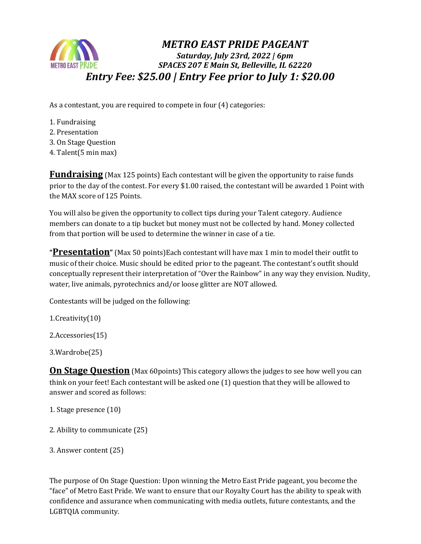

## *METRO EAST PRIDE PAGEANT Saturday, July 23rd, 2022 | 6pm SPACES 207 E Main St, Belleville, IL 62220 Entry Fee: \$25.00 | Entry Fee prior to July 1: \$20.00*

As a contestant, you are required to compete in four (4) categories:

- 1. Fundraising
- 2. Presentation
- 3. On Stage Question
- 4. Talent(5 min max)

**Fundraising** (Max 125 points) Each contestant will be given the opportunity to raise funds prior to the day of the contest. For every \$1.00 raised, the contestant will be awarded 1 Point with the MAX score of 125 Points.

You will also be given the opportunity to collect tips during your Talent category. Audience members can donate to a tip bucket but money must not be collected by hand. Money collected from that portion will be used to determine the winner in case of a tie.

**"Presentation"** (Max 50 points)Each contestant will have max 1 min to model their outfit to music of their choice. Music should be edited prior to the pageant. The contestant's outfit should conceptually represent their interpretation of "Over the Rainbow" in any way they envision. Nudity, water, live animals, pyrotechnics and/or loose glitter are NOT allowed.

Contestants will be judged on the following:

1.Creativity(10)

2.Accessories(15)

3.Wardrobe(25)

**On Stage Question** (Max 60 points) This category allows the judges to see how well you can think on your feet! Each contestant will be asked one (1) question that they will be allowed to answer and scored as follows:

- 1. Stage presence (10)
- 2. Ability to communicate (25)
- 3. Answer content (25)

The purpose of On Stage Question: Upon winning the Metro East Pride pageant, you become the "face" of Metro East Pride. We want to ensure that our Royalty Court has the ability to speak with confidence and assurance when communicating with media outlets, future contestants, and the LGBTQIA community.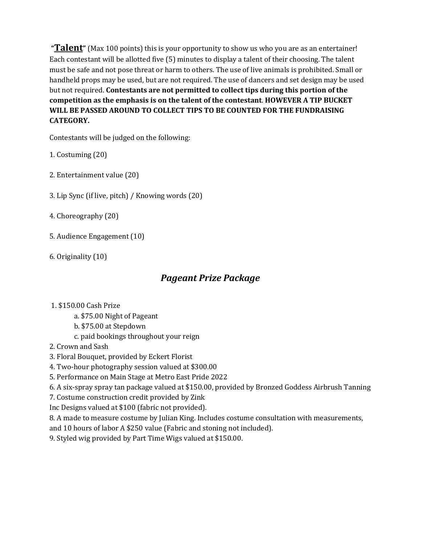**"Talent"** (Max 100 points) this is your opportunity to show us who you are as an entertainer! Each contestant will be allotted five (5) minutes to display a talent of their choosing. The talent must be safe and not pose threat or harm to others. The use of live animals is prohibited. Small or handheld props may be used, but are not required. The use of dancers and set design may be used but not required. **Contestants are not permitted to collect tips during this portion of the competition as the emphasis is on the talent of the contestant**. **HOWEVER A TIP BUCKET WILL BE PASSED AROUND TO COLLECT TIPS TO BE COUNTED FOR THE FUNDRAISING CATEGORY.** 

Contestants will be judged on the following:

1. Costuming (20)

2. Entertainment value (20)

3. Lip Sync (if live, pitch) / Knowing words (20)

4. Choreography (20)

5. Audience Engagement (10)

6. Originality (10)

## *Pageant Prize Package*

1. \$150.00 Cash Prize

a. \$75.00 Night of Pageant

- b. \$75.00 at Stepdown
- c. paid bookings throughout your reign
- 2. Crown and Sash
- 3. Floral Bouquet, provided by Eckert Florist
- 4. Two-hour photography session valued at \$300.00
- 5. Performance on Main Stage at Metro East Pride 2022
- 6. A six-spray spray tan package valued at \$150.00, provided by Bronzed Goddess Airbrush Tanning
- 7. Costume construction credit provided by Zink

Inc Designs valued at \$100 (fabric not provided).

8. A made to measure costume by Julian King. Includes costume consultation with measurements,

and 10 hours of labor A \$250 value (Fabric and stoning not included).

9. Styled wig provided by Part Time Wigs valued at \$150.00.